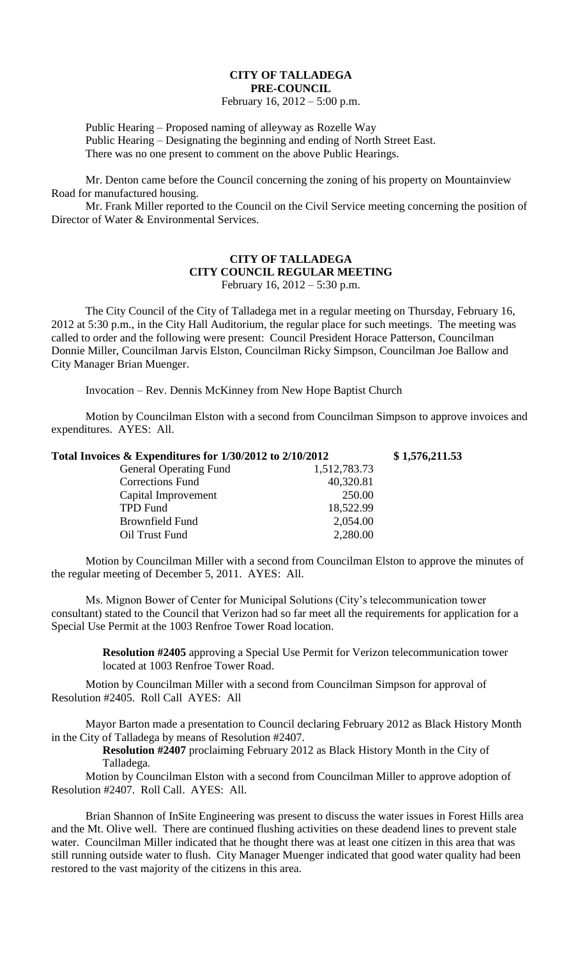## **CITY OF TALLADEGA PRE-COUNCIL**

## February 16, 2012 – 5:00 p.m.

Public Hearing – Proposed naming of alleyway as Rozelle Way Public Hearing – Designating the beginning and ending of North Street East. There was no one present to comment on the above Public Hearings.

Mr. Denton came before the Council concerning the zoning of his property on Mountainview Road for manufactured housing.

Mr. Frank Miller reported to the Council on the Civil Service meeting concerning the position of Director of Water & Environmental Services.

## **CITY OF TALLADEGA CITY COUNCIL REGULAR MEETING** February 16, 2012 – 5:30 p.m.

The City Council of the City of Talladega met in a regular meeting on Thursday, February 16, 2012 at 5:30 p.m., in the City Hall Auditorium, the regular place for such meetings. The meeting was called to order and the following were present: Council President Horace Patterson, Councilman Donnie Miller, Councilman Jarvis Elston, Councilman Ricky Simpson, Councilman Joe Ballow and City Manager Brian Muenger.

Invocation – Rev. Dennis McKinney from New Hope Baptist Church

Motion by Councilman Elston with a second from Councilman Simpson to approve invoices and expenditures. AYES: All.

| Total Invoices & Expenditures for 1/30/2012 to 2/10/2012 |              | \$1,576,211.53 |
|----------------------------------------------------------|--------------|----------------|
| <b>General Operating Fund</b>                            | 1,512,783.73 |                |
| <b>Corrections Fund</b>                                  | 40,320.81    |                |
| Capital Improvement                                      | 250.00       |                |
| <b>TPD Fund</b>                                          | 18,522.99    |                |
| Brownfield Fund                                          | 2,054.00     |                |
| Oil Trust Fund                                           | 2,280.00     |                |

Motion by Councilman Miller with a second from Councilman Elston to approve the minutes of the regular meeting of December 5, 2011. AYES: All.

Ms. Mignon Bower of Center for Municipal Solutions (City's telecommunication tower consultant) stated to the Council that Verizon had so far meet all the requirements for application for a Special Use Permit at the 1003 Renfroe Tower Road location.

> **Resolution #2405** approving a Special Use Permit for Verizon telecommunication tower located at 1003 Renfroe Tower Road.

Motion by Councilman Miller with a second from Councilman Simpson for approval of Resolution #2405. Roll Call AYES: All

Mayor Barton made a presentation to Council declaring February 2012 as Black History Month in the City of Talladega by means of Resolution #2407.

**Resolution #2407** proclaiming February 2012 as Black History Month in the City of Talladega.

Motion by Councilman Elston with a second from Councilman Miller to approve adoption of Resolution #2407. Roll Call. AYES: All.

Brian Shannon of InSite Engineering was present to discuss the water issues in Forest Hills area and the Mt. Olive well. There are continued flushing activities on these deadend lines to prevent stale water. Councilman Miller indicated that he thought there was at least one citizen in this area that was still running outside water to flush. City Manager Muenger indicated that good water quality had been restored to the vast majority of the citizens in this area.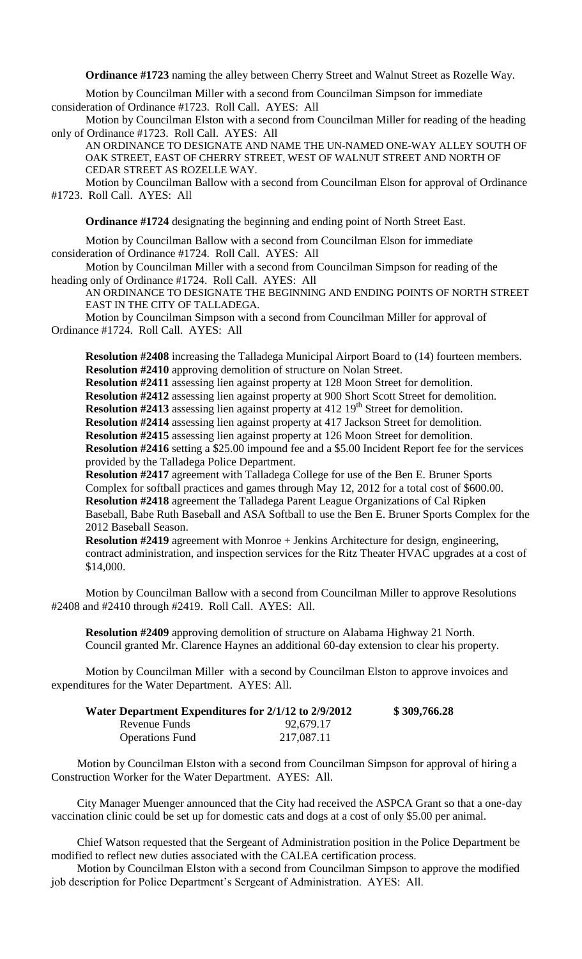**Ordinance #1723** naming the alley between Cherry Street and Walnut Street as Rozelle Way.

Motion by Councilman Miller with a second from Councilman Simpson for immediate consideration of Ordinance #1723. Roll Call. AYES: All

Motion by Councilman Elston with a second from Councilman Miller for reading of the heading only of Ordinance #1723. Roll Call. AYES: All

AN ORDINANCE TO DESIGNATE AND NAME THE UN-NAMED ONE-WAY ALLEY SOUTH OF OAK STREET, EAST OF CHERRY STREET, WEST OF WALNUT STREET AND NORTH OF CEDAR STREET AS ROZELLE WAY.

Motion by Councilman Ballow with a second from Councilman Elson for approval of Ordinance #1723. Roll Call. AYES: All

**Ordinance #1724** designating the beginning and ending point of North Street East.

Motion by Councilman Ballow with a second from Councilman Elson for immediate consideration of Ordinance #1724. Roll Call. AYES: All

Motion by Councilman Miller with a second from Councilman Simpson for reading of the heading only of Ordinance #1724. Roll Call. AYES: All

AN ORDINANCE TO DESIGNATE THE BEGINNING AND ENDING POINTS OF NORTH STREET EAST IN THE CITY OF TALLADEGA.

Motion by Councilman Simpson with a second from Councilman Miller for approval of Ordinance #1724. Roll Call. AYES: All

**Resolution #2408** increasing the Talladega Municipal Airport Board to (14) fourteen members. **Resolution #2410** approving demolition of structure on Nolan Street.

**Resolution #2411** assessing lien against property at 128 Moon Street for demolition.

**Resolution #2412** assessing lien against property at 900 Short Scott Street for demolition.

**Resolution #2413** assessing lien against property at 412 19<sup>th</sup> Street for demolition.

**Resolution #2414** assessing lien against property at 417 Jackson Street for demolition.

**Resolution #2415** assessing lien against property at 126 Moon Street for demolition.

**Resolution #2416** setting a \$25.00 impound fee and a \$5.00 Incident Report fee for the services provided by the Talladega Police Department.

**Resolution #2417** agreement with Talladega College for use of the Ben E. Bruner Sports Complex for softball practices and games through May 12, 2012 for a total cost of \$600.00. **Resolution #2418** agreement the Talladega Parent League Organizations of Cal Ripken Baseball, Babe Ruth Baseball and ASA Softball to use the Ben E. Bruner Sports Complex for the 2012 Baseball Season.

**Resolution #2419** agreement with Monroe + Jenkins Architecture for design, engineering, contract administration, and inspection services for the Ritz Theater HVAC upgrades at a cost of \$14,000.

Motion by Councilman Ballow with a second from Councilman Miller to approve Resolutions #2408 and #2410 through #2419. Roll Call. AYES: All.

**Resolution #2409** approving demolition of structure on Alabama Highway 21 North. Council granted Mr. Clarence Haynes an additional 60-day extension to clear his property.

Motion by Councilman Miller with a second by Councilman Elston to approve invoices and expenditures for the Water Department. AYES: All.

| Water Department Expenditures for 2/1/12 to 2/9/2012 |            | \$309,766.28 |
|------------------------------------------------------|------------|--------------|
| Revenue Funds                                        | 92,679.17  |              |
| <b>Operations Fund</b>                               | 217,087.11 |              |

Motion by Councilman Elston with a second from Councilman Simpson for approval of hiring a Construction Worker for the Water Department. AYES: All.

City Manager Muenger announced that the City had received the ASPCA Grant so that a one-day vaccination clinic could be set up for domestic cats and dogs at a cost of only \$5.00 per animal.

Chief Watson requested that the Sergeant of Administration position in the Police Department be modified to reflect new duties associated with the CALEA certification process.

Motion by Councilman Elston with a second from Councilman Simpson to approve the modified job description for Police Department's Sergeant of Administration. AYES: All.